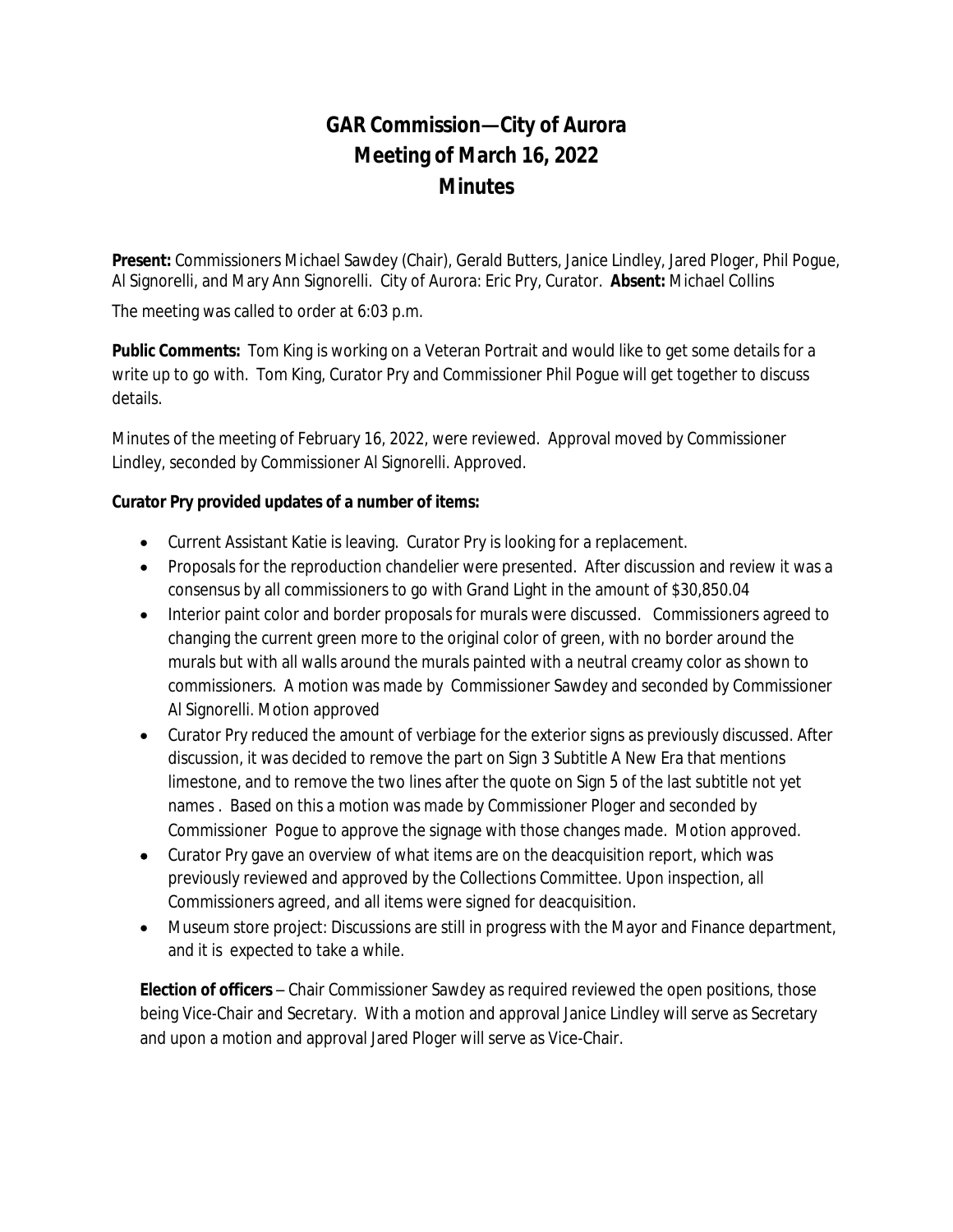## **GAR Commission—City of Aurora Meeting of March 16, 2022 Minutes**

**Present:** Commissioners Michael Sawdey (Chair), Gerald Butters, Janice Lindley, Jared Ploger, Phil Pogue, Al Signorelli, and Mary Ann Signorelli. City of Aurora: Eric Pry, Curator. **Absent:** Michael Collins

The meeting was called to order at 6:03 p.m.

**Public Comments:** Tom King is working on a Veteran Portrait and would like to get some details for a write up to go with. Tom King, Curator Pry and Commissioner Phil Pogue will get together to discuss details.

Minutes of the meeting of February 16, 2022, were reviewed. Approval moved by Commissioner Lindley, seconded by Commissioner Al Signorelli. Approved.

## **Curator Pry provided updates of a number of items:**

- Current Assistant Katie is leaving. Curator Pry is looking for a replacement.
- Proposals for the reproduction chandelier were presented. After discussion and review it was a consensus by all commissioners to go with Grand Light in the amount of \$30,850.04
- Interior paint color and border proposals for murals were discussed. Commissioners agreed to changing the current green more to the original color of green, with no border around the murals but with all walls around the murals painted with a neutral creamy color as shown to commissioners. A motion was made by Commissioner Sawdey and seconded by Commissioner Al Signorelli. Motion approved
- Curator Pry reduced the amount of verbiage for the exterior signs as previously discussed. After discussion, it was decided to remove the part on Sign 3 Subtitle A New Era that mentions limestone, and to remove the two lines after the quote on Sign 5 of the last subtitle not yet names . Based on this a motion was made by Commissioner Ploger and seconded by Commissioner Pogue to approve the signage with those changes made. Motion approved.
- Curator Pry gave an overview of what items are on the deacquisition report, which was previously reviewed and approved by the Collections Committee. Upon inspection, all Commissioners agreed, and all items were signed for deacquisition.
- Museum store project: Discussions are still in progress with the Mayor and Finance department, and it is expected to take a while.

**Election of officers** – Chair Commissioner Sawdey as required reviewed the open positions, those being Vice-Chair and Secretary. With a motion and approval Janice Lindley will serve as Secretary and upon a motion and approval Jared Ploger will serve as Vice-Chair.